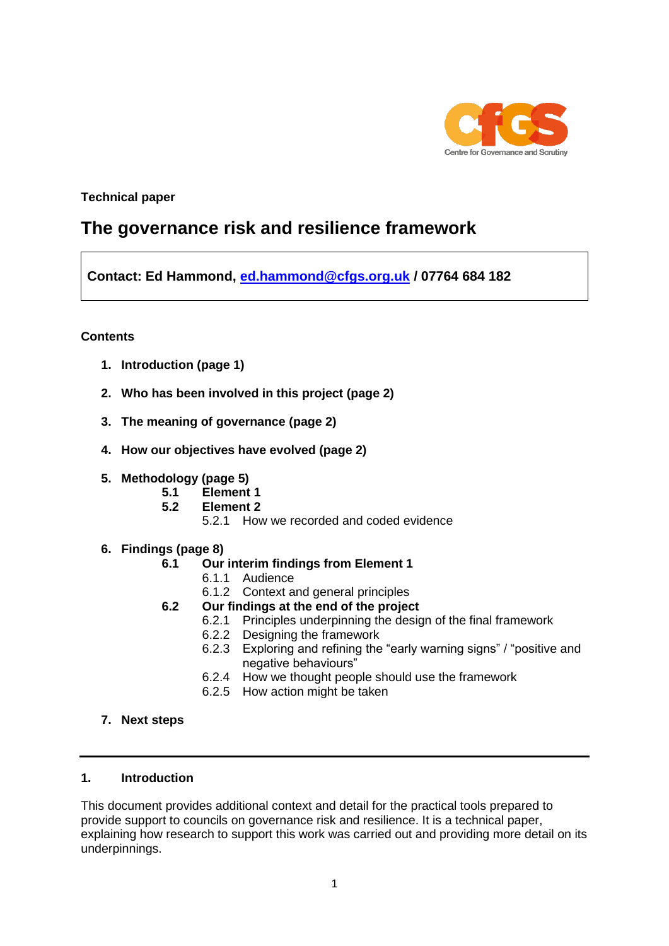

## **Technical paper**

# **The governance risk and resilience framework**

**Contact: Ed Hammond, [ed.hammond@cfgs.org.uk](mailto:ed.hammond@cfgs.org.uk) / 07764 684 182**

### **Contents**

- **1. Introduction (page 1)**
- **2. Who has been involved in this project (page 2)**
- **3. The meaning of governance (page 2)**
- **4. How our objectives have evolved (page 2)**
- **5. Methodology (page 5)**
	- **5.1 Element 1**
	- **5.2 Element 2**
		- 5.2.1 How we recorded and coded evidence
- **6. Findings (page 8)**

### **6.1 Our interim findings from Element 1**

- 6.1.1 Audience
- 6.1.2 Context and general principles
- **6.2 Our findings at the end of the project**
	- 6.2.1 Principles underpinning the design of the final framework
	- 6.2.2 Designing the framework
	- 6.2.3 Exploring and refining the "early warning signs" / "positive and negative behaviours"
	- 6.2.4 How we thought people should use the framework
	- 6.2.5 How action might be taken
- **7. Next steps**

#### **1. Introduction**

This document provides additional context and detail for the practical tools prepared to provide support to councils on governance risk and resilience. It is a technical paper, explaining how research to support this work was carried out and providing more detail on its underpinnings.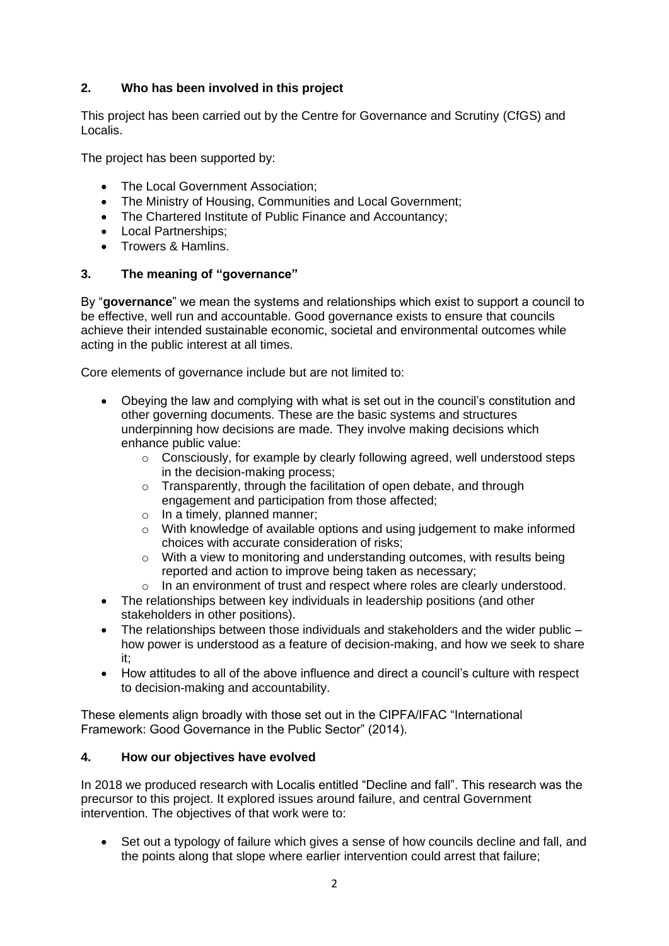# **2. Who has been involved in this project**

This project has been carried out by the Centre for Governance and Scrutiny (CfGS) and Localis.

The project has been supported by:

- The Local Government Association:
- The Ministry of Housing, Communities and Local Government;
- The Chartered Institute of Public Finance and Accountancy;
- Local Partnerships;
- Trowers & Hamlins.

## **3. The meaning of "governance"**

By "**governance**" we mean the systems and relationships which exist to support a council to be effective, well run and accountable. Good governance exists to ensure that councils achieve their intended sustainable economic, societal and environmental outcomes while acting in the public interest at all times.

Core elements of governance include but are not limited to:

- Obeying the law and complying with what is set out in the council's constitution and other governing documents. These are the basic systems and structures underpinning how decisions are made. They involve making decisions which enhance public value:
	- o Consciously, for example by clearly following agreed, well understood steps in the decision-making process;
	- o Transparently, through the facilitation of open debate, and through engagement and participation from those affected;
	- o In a timely, planned manner;
	- o With knowledge of available options and using judgement to make informed choices with accurate consideration of risks;
	- o With a view to monitoring and understanding outcomes, with results being reported and action to improve being taken as necessary;
	- o In an environment of trust and respect where roles are clearly understood.
- The relationships between key individuals in leadership positions (and other stakeholders in other positions).
- The relationships between those individuals and stakeholders and the wider public how power is understood as a feature of decision-making, and how we seek to share it;
- How attitudes to all of the above influence and direct a council's culture with respect to decision-making and accountability.

These elements align broadly with those set out in the CIPFA/IFAC "International Framework: Good Governance in the Public Sector" (2014).

## **4. How our objectives have evolved**

In 2018 we produced research with Localis entitled "Decline and fall". This research was the precursor to this project. It explored issues around failure, and central Government intervention. The objectives of that work were to:

Set out a typology of failure which gives a sense of how councils decline and fall, and the points along that slope where earlier intervention could arrest that failure;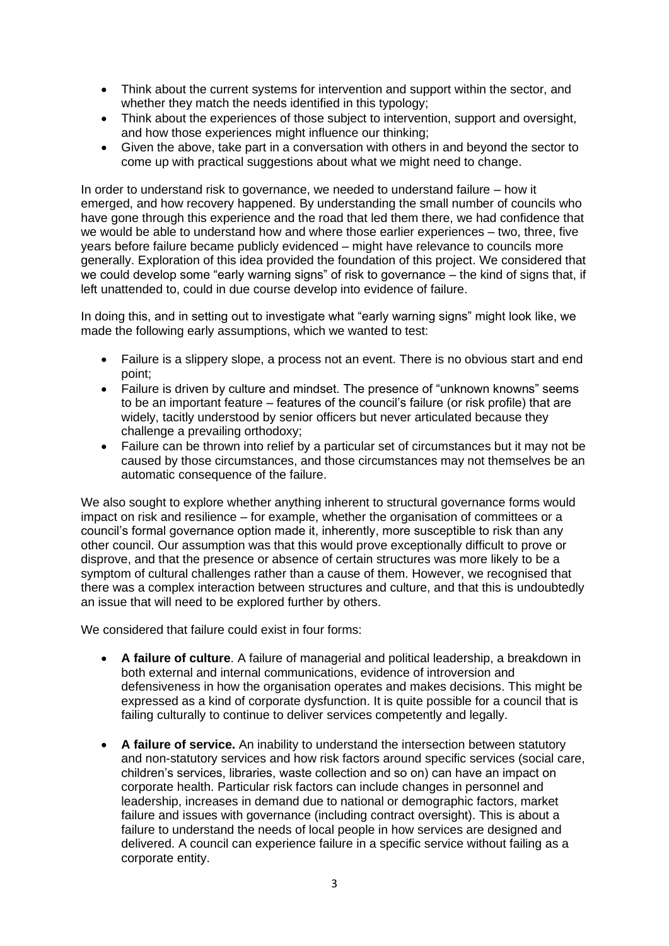- Think about the current systems for intervention and support within the sector, and whether they match the needs identified in this typology;
- Think about the experiences of those subject to intervention, support and oversight, and how those experiences might influence our thinking;
- Given the above, take part in a conversation with others in and beyond the sector to come up with practical suggestions about what we might need to change.

In order to understand risk to governance, we needed to understand failure – how it emerged, and how recovery happened. By understanding the small number of councils who have gone through this experience and the road that led them there, we had confidence that we would be able to understand how and where those earlier experiences – two, three, five years before failure became publicly evidenced – might have relevance to councils more generally. Exploration of this idea provided the foundation of this project. We considered that we could develop some "early warning signs" of risk to governance – the kind of signs that, if left unattended to, could in due course develop into evidence of failure.

In doing this, and in setting out to investigate what "early warning signs" might look like, we made the following early assumptions, which we wanted to test:

- Failure is a slippery slope, a process not an event. There is no obvious start and end point;
- Failure is driven by culture and mindset. The presence of "unknown knowns" seems to be an important feature – features of the council's failure (or risk profile) that are widely, tacitly understood by senior officers but never articulated because they challenge a prevailing orthodoxy;
- Failure can be thrown into relief by a particular set of circumstances but it may not be caused by those circumstances, and those circumstances may not themselves be an automatic consequence of the failure.

We also sought to explore whether anything inherent to structural governance forms would impact on risk and resilience – for example, whether the organisation of committees or a council's formal governance option made it, inherently, more susceptible to risk than any other council. Our assumption was that this would prove exceptionally difficult to prove or disprove, and that the presence or absence of certain structures was more likely to be a symptom of cultural challenges rather than a cause of them. However, we recognised that there was a complex interaction between structures and culture, and that this is undoubtedly an issue that will need to be explored further by others.

We considered that failure could exist in four forms:

- **A failure of culture**. A failure of managerial and political leadership, a breakdown in both external and internal communications, evidence of introversion and defensiveness in how the organisation operates and makes decisions. This might be expressed as a kind of corporate dysfunction. It is quite possible for a council that is failing culturally to continue to deliver services competently and legally.
- **A failure of service.** An inability to understand the intersection between statutory and non-statutory services and how risk factors around specific services (social care, children's services, libraries, waste collection and so on) can have an impact on corporate health. Particular risk factors can include changes in personnel and leadership, increases in demand due to national or demographic factors, market failure and issues with governance (including contract oversight). This is about a failure to understand the needs of local people in how services are designed and delivered. A council can experience failure in a specific service without failing as a corporate entity.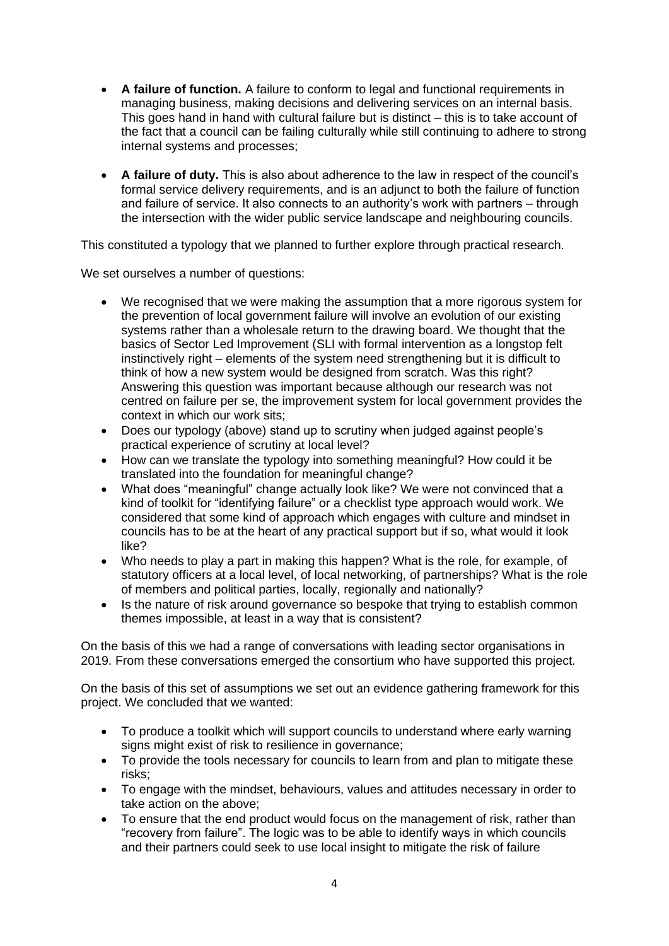- **A failure of function.** A failure to conform to legal and functional requirements in managing business, making decisions and delivering services on an internal basis. This goes hand in hand with cultural failure but is distinct – this is to take account of the fact that a council can be failing culturally while still continuing to adhere to strong internal systems and processes;
- **A failure of duty.** This is also about adherence to the law in respect of the council's formal service delivery requirements, and is an adjunct to both the failure of function and failure of service. It also connects to an authority's work with partners – through the intersection with the wider public service landscape and neighbouring councils.

This constituted a typology that we planned to further explore through practical research.

We set ourselves a number of questions:

- We recognised that we were making the assumption that a more rigorous system for the prevention of local government failure will involve an evolution of our existing systems rather than a wholesale return to the drawing board. We thought that the basics of Sector Led Improvement (SLI with formal intervention as a longstop felt instinctively right – elements of the system need strengthening but it is difficult to think of how a new system would be designed from scratch. Was this right? Answering this question was important because although our research was not centred on failure per se, the improvement system for local government provides the context in which our work sits;
- Does our typology (above) stand up to scrutiny when judged against people's practical experience of scrutiny at local level?
- How can we translate the typology into something meaningful? How could it be translated into the foundation for meaningful change?
- What does "meaningful" change actually look like? We were not convinced that a kind of toolkit for "identifying failure" or a checklist type approach would work. We considered that some kind of approach which engages with culture and mindset in councils has to be at the heart of any practical support but if so, what would it look like?
- Who needs to play a part in making this happen? What is the role, for example, of statutory officers at a local level, of local networking, of partnerships? What is the role of members and political parties, locally, regionally and nationally?
- Is the nature of risk around governance so bespoke that trying to establish common themes impossible, at least in a way that is consistent?

On the basis of this we had a range of conversations with leading sector organisations in 2019. From these conversations emerged the consortium who have supported this project.

On the basis of this set of assumptions we set out an evidence gathering framework for this project. We concluded that we wanted:

- To produce a toolkit which will support councils to understand where early warning signs might exist of risk to resilience in governance;
- To provide the tools necessary for councils to learn from and plan to mitigate these risks;
- To engage with the mindset, behaviours, values and attitudes necessary in order to take action on the above;
- To ensure that the end product would focus on the management of risk, rather than "recovery from failure". The logic was to be able to identify ways in which councils and their partners could seek to use local insight to mitigate the risk of failure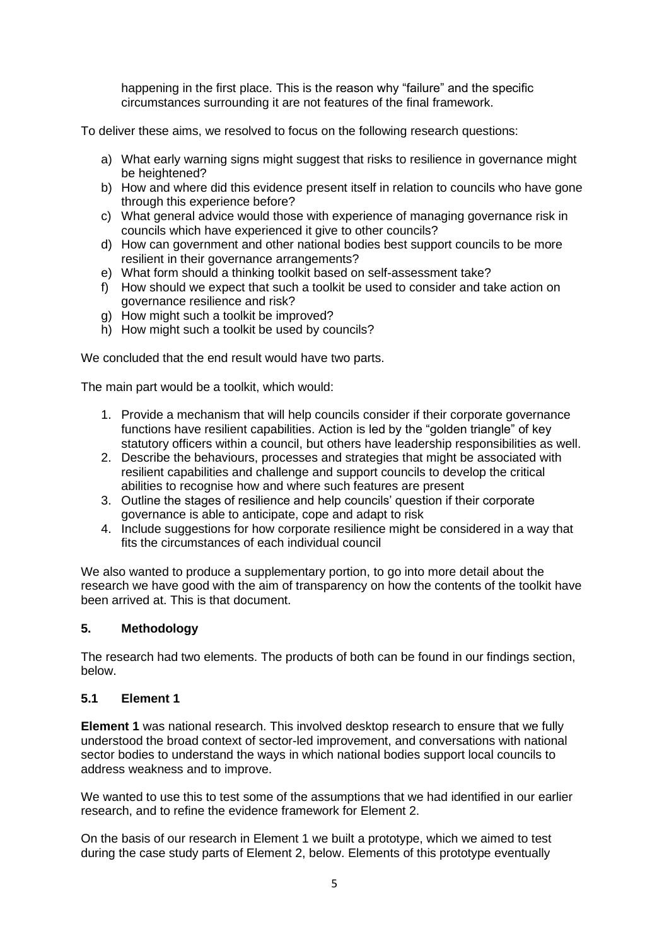happening in the first place. This is the reason why "failure" and the specific circumstances surrounding it are not features of the final framework.

To deliver these aims, we resolved to focus on the following research questions:

- a) What early warning signs might suggest that risks to resilience in governance might be heightened?
- b) How and where did this evidence present itself in relation to councils who have gone through this experience before?
- c) What general advice would those with experience of managing governance risk in councils which have experienced it give to other councils?
- d) How can government and other national bodies best support councils to be more resilient in their governance arrangements?
- e) What form should a thinking toolkit based on self-assessment take?
- f) How should we expect that such a toolkit be used to consider and take action on governance resilience and risk?
- g) How might such a toolkit be improved?
- h) How might such a toolkit be used by councils?

We concluded that the end result would have two parts.

The main part would be a toolkit, which would:

- 1. Provide a mechanism that will help councils consider if their corporate governance functions have resilient capabilities. Action is led by the "golden triangle" of key statutory officers within a council, but others have leadership responsibilities as well.
- 2. Describe the behaviours, processes and strategies that might be associated with resilient capabilities and challenge and support councils to develop the critical abilities to recognise how and where such features are present
- 3. Outline the stages of resilience and help councils' question if their corporate governance is able to anticipate, cope and adapt to risk
- 4. Include suggestions for how corporate resilience might be considered in a way that fits the circumstances of each individual council

We also wanted to produce a supplementary portion, to go into more detail about the research we have good with the aim of transparency on how the contents of the toolkit have been arrived at. This is that document.

### **5. Methodology**

The research had two elements. The products of both can be found in our findings section, below.

### **5.1 Element 1**

**Element 1** was national research. This involved desktop research to ensure that we fully understood the broad context of sector-led improvement, and conversations with national sector bodies to understand the ways in which national bodies support local councils to address weakness and to improve.

We wanted to use this to test some of the assumptions that we had identified in our earlier research, and to refine the evidence framework for Element 2.

On the basis of our research in Element 1 we built a prototype, which we aimed to test during the case study parts of Element 2, below. Elements of this prototype eventually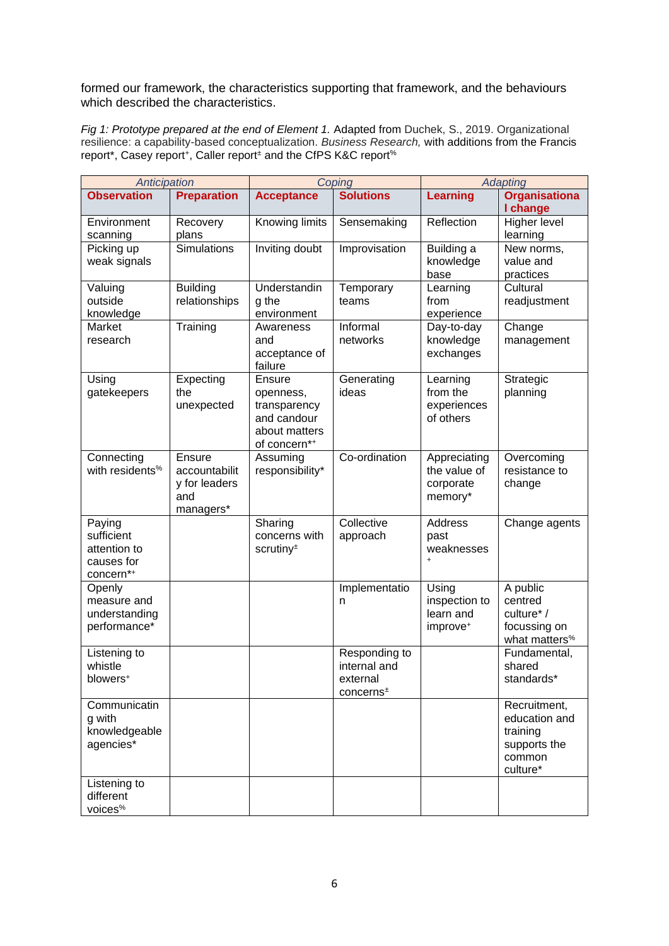formed our framework, the characteristics supporting that framework, and the behaviours which described the characteristics.

*Fig 1: Prototype prepared at the end of Element 1.* Adapted from Duchek, S., 2019. Organizational resilience: a capability-based conceptualization. *Business Research,* with additions from the Francis report\*, Casey report+, Caller report<sup>±</sup> and the CfPS K&C report<sup>%</sup>

| Anticipation                                                    |                                                              | Coping                                                                              |                                                                    | <b>Adapting</b>                                             |                                                                                 |
|-----------------------------------------------------------------|--------------------------------------------------------------|-------------------------------------------------------------------------------------|--------------------------------------------------------------------|-------------------------------------------------------------|---------------------------------------------------------------------------------|
| <b>Observation</b>                                              | <b>Preparation</b>                                           | <b>Acceptance</b>                                                                   | <b>Solutions</b>                                                   | <b>Learning</b>                                             | <b>Organisationa</b><br>I change                                                |
| Environment<br>scanning                                         | Recovery<br>plans                                            | Knowing limits                                                                      | Sensemaking                                                        | Reflection                                                  | Higher level<br>learning                                                        |
| Picking up<br>weak signals                                      | <b>Simulations</b>                                           | Inviting doubt                                                                      | Improvisation                                                      | Building a<br>knowledge<br>base                             | New norms,<br>value and<br>practices                                            |
| Valuing<br>outside<br>knowledge                                 | <b>Building</b><br>relationships                             | Understandin<br>g the<br>environment                                                | Temporary<br>teams                                                 | Learning<br>from<br>experience                              | Cultural<br>readjustment                                                        |
| Market<br>research                                              | Training                                                     | Awareness<br>and<br>acceptance of<br>failure                                        | Informal<br>networks                                               | Day-to-day<br>knowledge<br>exchanges                        | Change<br>management                                                            |
| Using<br>gatekeepers                                            | Expecting<br>the<br>unexpected                               | Ensure<br>openness,<br>transparency<br>and candour<br>about matters<br>of concern*+ | Generating<br>ideas                                                | Learning<br>from the<br>experiences<br>of others            | Strategic<br>planning                                                           |
| Connecting<br>with residents <sup>%</sup>                       | Ensure<br>accountabilit<br>y for leaders<br>and<br>managers* | Assuming<br>responsibility*                                                         | Co-ordination                                                      | Appreciating<br>the value of<br>corporate<br>memory*        | Overcoming<br>resistance to<br>change                                           |
| Paying<br>sufficient<br>attention to<br>causes for<br>concern*+ |                                                              | Sharing<br>concerns with<br>scrutiny <sup>±</sup>                                   | Collective<br>approach                                             | <b>Address</b><br>past<br>weaknesses<br>$\ddot{}$           | Change agents                                                                   |
| Openly<br>measure and<br>understanding<br>performance*          |                                                              |                                                                                     | Implementatio<br>n                                                 | Using<br>inspection to<br>learn and<br>improve <sup>+</sup> | A public<br>centred<br>culture*/<br>focussing on<br>what matters <sup>%</sup>   |
| Listening to<br>whistle<br>blowers <sup>+</sup>                 |                                                              |                                                                                     | Responding to<br>internal and<br>external<br>concerns <sup>±</sup> |                                                             | Fundamental,<br>shared<br>standards*                                            |
| Communicatin<br>g with<br>knowledgeable<br>agencies*            |                                                              |                                                                                     |                                                                    |                                                             | Recruitment,<br>education and<br>training<br>supports the<br>common<br>culture* |
| Listening to<br>different<br>voices <sup>%</sup>                |                                                              |                                                                                     |                                                                    |                                                             |                                                                                 |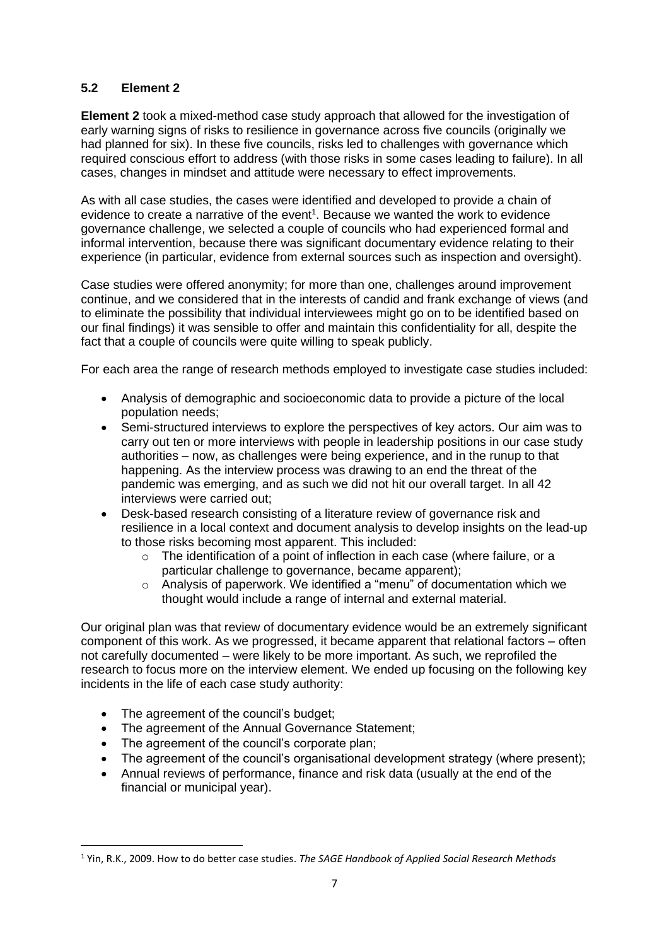## **5.2 Element 2**

**Element 2** took a mixed-method case study approach that allowed for the investigation of early warning signs of risks to resilience in governance across five councils (originally we had planned for six). In these five councils, risks led to challenges with governance which required conscious effort to address (with those risks in some cases leading to failure). In all cases, changes in mindset and attitude were necessary to effect improvements.

As with all case studies, the cases were identified and developed to provide a chain of evidence to create a narrative of the event<sup>1</sup>. Because we wanted the work to evidence governance challenge, we selected a couple of councils who had experienced formal and informal intervention, because there was significant documentary evidence relating to their experience (in particular, evidence from external sources such as inspection and oversight).

Case studies were offered anonymity; for more than one, challenges around improvement continue, and we considered that in the interests of candid and frank exchange of views (and to eliminate the possibility that individual interviewees might go on to be identified based on our final findings) it was sensible to offer and maintain this confidentiality for all, despite the fact that a couple of councils were quite willing to speak publicly.

For each area the range of research methods employed to investigate case studies included:

- Analysis of demographic and socioeconomic data to provide a picture of the local population needs;
- Semi-structured interviews to explore the perspectives of key actors. Our aim was to carry out ten or more interviews with people in leadership positions in our case study authorities – now, as challenges were being experience, and in the runup to that happening. As the interview process was drawing to an end the threat of the pandemic was emerging, and as such we did not hit our overall target. In all 42 interviews were carried out;
- Desk-based research consisting of a literature review of governance risk and resilience in a local context and document analysis to develop insights on the lead-up to those risks becoming most apparent. This included:
	- o The identification of a point of inflection in each case (where failure, or a particular challenge to governance, became apparent);
	- o Analysis of paperwork. We identified a "menu" of documentation which we thought would include a range of internal and external material.

Our original plan was that review of documentary evidence would be an extremely significant component of this work. As we progressed, it became apparent that relational factors – often not carefully documented – were likely to be more important. As such, we reprofiled the research to focus more on the interview element. We ended up focusing on the following key incidents in the life of each case study authority:

- The agreement of the council's budget;
- The agreement of the Annual Governance Statement;
- The agreement of the council's corporate plan;
- The agreement of the council's organisational development strategy (where present);
- Annual reviews of performance, finance and risk data (usually at the end of the financial or municipal year).

<sup>1</sup> Yin, R.K., 2009. How to do better case studies. *The SAGE Handbook of Applied Social Research Methods*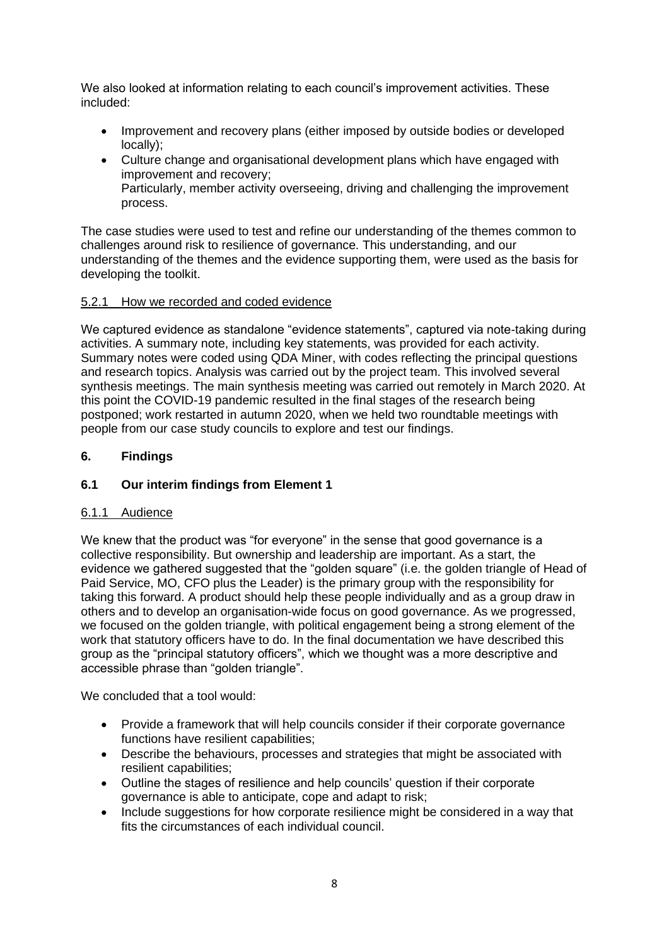We also looked at information relating to each council's improvement activities. These included:

- Improvement and recovery plans (either imposed by outside bodies or developed locally);
- Culture change and organisational development plans which have engaged with improvement and recovery; Particularly, member activity overseeing, driving and challenging the improvement process.

The case studies were used to test and refine our understanding of the themes common to challenges around risk to resilience of governance. This understanding, and our understanding of the themes and the evidence supporting them, were used as the basis for developing the toolkit.

### 5.2.1 How we recorded and coded evidence

We captured evidence as standalone "evidence statements", captured via note-taking during activities. A summary note, including key statements, was provided for each activity. Summary notes were coded using QDA Miner, with codes reflecting the principal questions and research topics. Analysis was carried out by the project team. This involved several synthesis meetings. The main synthesis meeting was carried out remotely in March 2020. At this point the COVID-19 pandemic resulted in the final stages of the research being postponed; work restarted in autumn 2020, when we held two roundtable meetings with people from our case study councils to explore and test our findings.

## **6. Findings**

# **6.1 Our interim findings from Element 1**

### 6.1.1 Audience

We knew that the product was "for everyone" in the sense that good governance is a collective responsibility. But ownership and leadership are important. As a start, the evidence we gathered suggested that the "golden square" (i.e. the golden triangle of Head of Paid Service, MO, CFO plus the Leader) is the primary group with the responsibility for taking this forward. A product should help these people individually and as a group draw in others and to develop an organisation-wide focus on good governance. As we progressed, we focused on the golden triangle, with political engagement being a strong element of the work that statutory officers have to do. In the final documentation we have described this group as the "principal statutory officers", which we thought was a more descriptive and accessible phrase than "golden triangle".

We concluded that a tool would:

- Provide a framework that will help councils consider if their corporate governance functions have resilient capabilities;
- Describe the behaviours, processes and strategies that might be associated with resilient capabilities;
- Outline the stages of resilience and help councils' question if their corporate governance is able to anticipate, cope and adapt to risk;
- Include suggestions for how corporate resilience might be considered in a way that fits the circumstances of each individual council.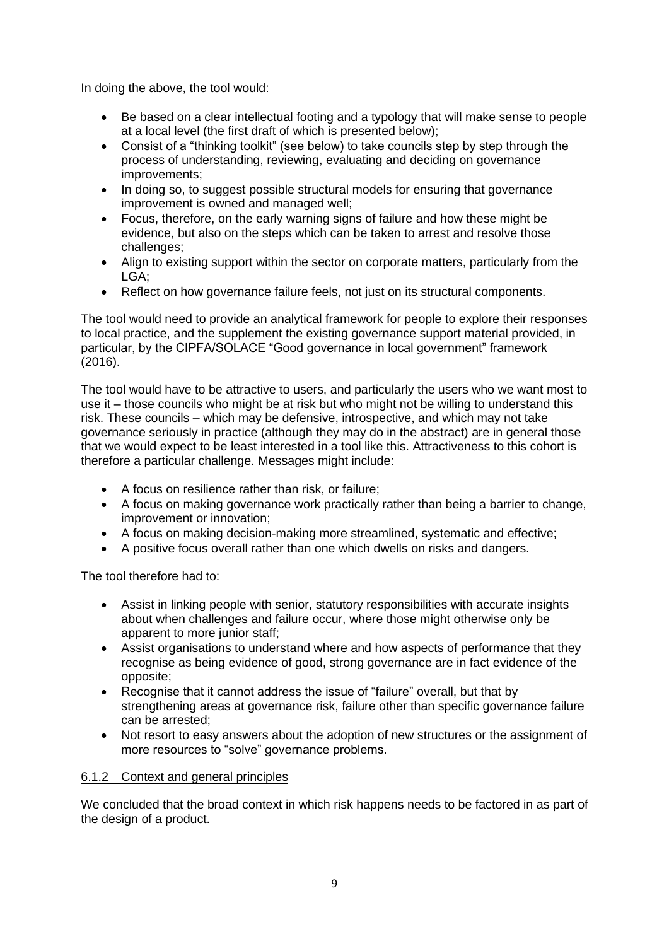In doing the above, the tool would:

- Be based on a clear intellectual footing and a typology that will make sense to people at a local level (the first draft of which is presented below);
- Consist of a "thinking toolkit" (see below) to take councils step by step through the process of understanding, reviewing, evaluating and deciding on governance improvements;
- In doing so, to suggest possible structural models for ensuring that governance improvement is owned and managed well;
- Focus, therefore, on the early warning signs of failure and how these might be evidence, but also on the steps which can be taken to arrest and resolve those challenges;
- Align to existing support within the sector on corporate matters, particularly from the LGA;
- Reflect on how governance failure feels, not just on its structural components.

The tool would need to provide an analytical framework for people to explore their responses to local practice, and the supplement the existing governance support material provided, in particular, by the CIPFA/SOLACE "Good governance in local government" framework (2016).

The tool would have to be attractive to users, and particularly the users who we want most to use it – those councils who might be at risk but who might not be willing to understand this risk. These councils – which may be defensive, introspective, and which may not take governance seriously in practice (although they may do in the abstract) are in general those that we would expect to be least interested in a tool like this. Attractiveness to this cohort is therefore a particular challenge. Messages might include:

- A focus on resilience rather than risk, or failure;
- A focus on making governance work practically rather than being a barrier to change, improvement or innovation;
- A focus on making decision-making more streamlined, systematic and effective;
- A positive focus overall rather than one which dwells on risks and dangers.

The tool therefore had to:

- Assist in linking people with senior, statutory responsibilities with accurate insights about when challenges and failure occur, where those might otherwise only be apparent to more junior staff;
- Assist organisations to understand where and how aspects of performance that they recognise as being evidence of good, strong governance are in fact evidence of the opposite;
- Recognise that it cannot address the issue of "failure" overall, but that by strengthening areas at governance risk, failure other than specific governance failure can be arrested;
- Not resort to easy answers about the adoption of new structures or the assignment of more resources to "solve" governance problems.

### 6.1.2 Context and general principles

We concluded that the broad context in which risk happens needs to be factored in as part of the design of a product.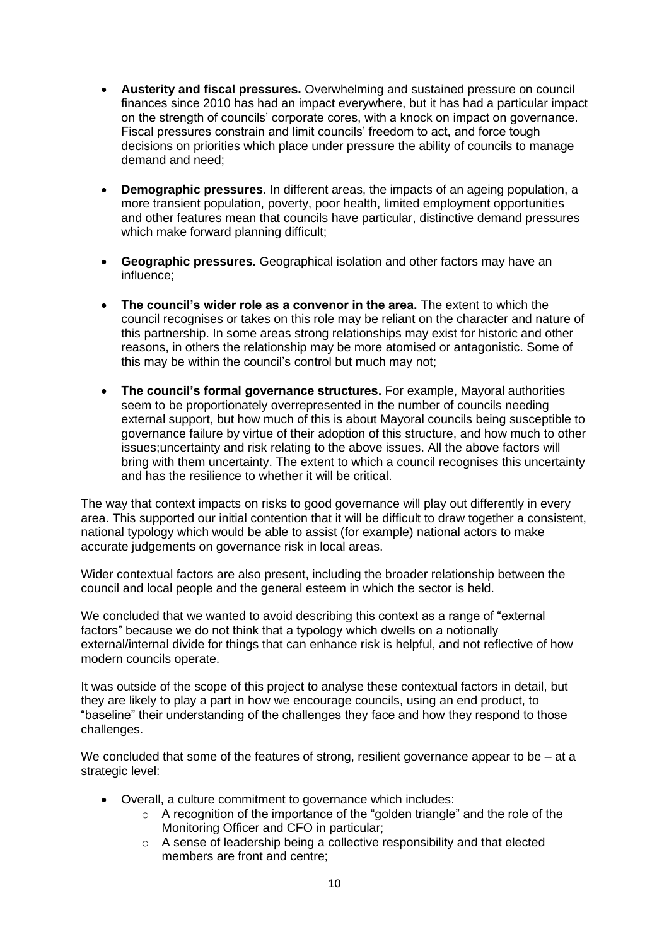- **Austerity and fiscal pressures.** Overwhelming and sustained pressure on council finances since 2010 has had an impact everywhere, but it has had a particular impact on the strength of councils' corporate cores, with a knock on impact on governance. Fiscal pressures constrain and limit councils' freedom to act, and force tough decisions on priorities which place under pressure the ability of councils to manage demand and need;
- **Demographic pressures.** In different areas, the impacts of an ageing population, a more transient population, poverty, poor health, limited employment opportunities and other features mean that councils have particular, distinctive demand pressures which make forward planning difficult:
- **Geographic pressures.** Geographical isolation and other factors may have an influence;
- **The council's wider role as a convenor in the area.** The extent to which the council recognises or takes on this role may be reliant on the character and nature of this partnership. In some areas strong relationships may exist for historic and other reasons, in others the relationship may be more atomised or antagonistic. Some of this may be within the council's control but much may not;
- **The council's formal governance structures.** For example, Mayoral authorities seem to be proportionately overrepresented in the number of councils needing external support, but how much of this is about Mayoral councils being susceptible to governance failure by virtue of their adoption of this structure, and how much to other issues;uncertainty and risk relating to the above issues. All the above factors will bring with them uncertainty. The extent to which a council recognises this uncertainty and has the resilience to whether it will be critical.

The way that context impacts on risks to good governance will play out differently in every area. This supported our initial contention that it will be difficult to draw together a consistent, national typology which would be able to assist (for example) national actors to make accurate judgements on governance risk in local areas.

Wider contextual factors are also present, including the broader relationship between the council and local people and the general esteem in which the sector is held.

We concluded that we wanted to avoid describing this context as a range of "external factors" because we do not think that a typology which dwells on a notionally external/internal divide for things that can enhance risk is helpful, and not reflective of how modern councils operate.

It was outside of the scope of this project to analyse these contextual factors in detail, but they are likely to play a part in how we encourage councils, using an end product, to "baseline" their understanding of the challenges they face and how they respond to those challenges.

We concluded that some of the features of strong, resilient governance appear to be – at a strategic level:

- Overall, a culture commitment to governance which includes:
	- o A recognition of the importance of the "golden triangle" and the role of the Monitoring Officer and CFO in particular;
	- o A sense of leadership being a collective responsibility and that elected members are front and centre;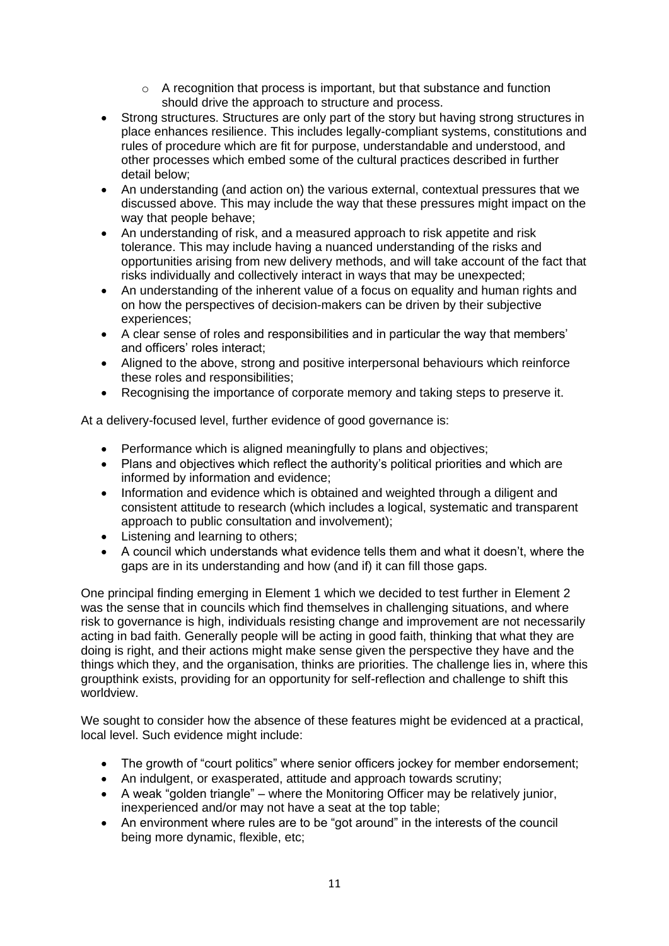- $\circ$  A recognition that process is important, but that substance and function should drive the approach to structure and process.
- Strong structures. Structures are only part of the story but having strong structures in place enhances resilience. This includes legally-compliant systems, constitutions and rules of procedure which are fit for purpose, understandable and understood, and other processes which embed some of the cultural practices described in further detail below;
- An understanding (and action on) the various external, contextual pressures that we discussed above. This may include the way that these pressures might impact on the way that people behave;
- An understanding of risk, and a measured approach to risk appetite and risk tolerance. This may include having a nuanced understanding of the risks and opportunities arising from new delivery methods, and will take account of the fact that risks individually and collectively interact in ways that may be unexpected;
- An understanding of the inherent value of a focus on equality and human rights and on how the perspectives of decision-makers can be driven by their subjective experiences;
- A clear sense of roles and responsibilities and in particular the way that members' and officers' roles interact;
- Aligned to the above, strong and positive interpersonal behaviours which reinforce these roles and responsibilities;
- Recognising the importance of corporate memory and taking steps to preserve it.

At a delivery-focused level, further evidence of good governance is:

- Performance which is aligned meaningfully to plans and objectives;
- Plans and objectives which reflect the authority's political priorities and which are informed by information and evidence;
- Information and evidence which is obtained and weighted through a diligent and consistent attitude to research (which includes a logical, systematic and transparent approach to public consultation and involvement);
- Listening and learning to others;
- A council which understands what evidence tells them and what it doesn't, where the gaps are in its understanding and how (and if) it can fill those gaps.

One principal finding emerging in Element 1 which we decided to test further in Element 2 was the sense that in councils which find themselves in challenging situations, and where risk to governance is high, individuals resisting change and improvement are not necessarily acting in bad faith. Generally people will be acting in good faith, thinking that what they are doing is right, and their actions might make sense given the perspective they have and the things which they, and the organisation, thinks are priorities. The challenge lies in, where this groupthink exists, providing for an opportunity for self-reflection and challenge to shift this worldview.

We sought to consider how the absence of these features might be evidenced at a practical, local level. Such evidence might include:

- The growth of "court politics" where senior officers jockey for member endorsement;
- An indulgent, or exasperated, attitude and approach towards scrutiny;
- A weak "golden triangle" where the Monitoring Officer may be relatively junior, inexperienced and/or may not have a seat at the top table;
- An environment where rules are to be "got around" in the interests of the council being more dynamic, flexible, etc;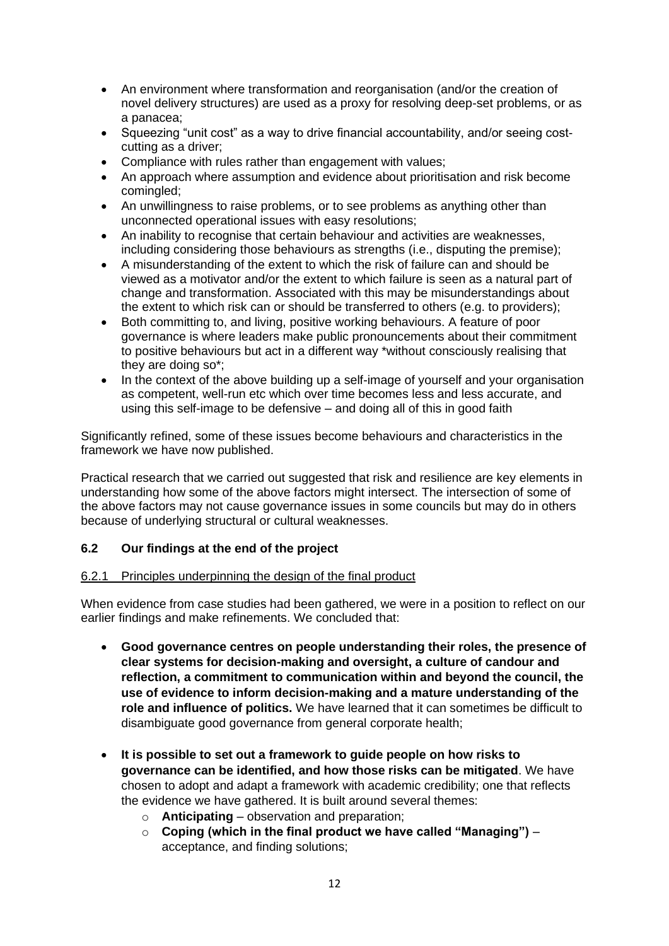- An environment where transformation and reorganisation (and/or the creation of novel delivery structures) are used as a proxy for resolving deep-set problems, or as a panacea;
- Squeezing "unit cost" as a way to drive financial accountability, and/or seeing costcutting as a driver;
- Compliance with rules rather than engagement with values;
- An approach where assumption and evidence about prioritisation and risk become comingled;
- An unwillingness to raise problems, or to see problems as anything other than unconnected operational issues with easy resolutions;
- An inability to recognise that certain behaviour and activities are weaknesses, including considering those behaviours as strengths (i.e., disputing the premise);
- A misunderstanding of the extent to which the risk of failure can and should be viewed as a motivator and/or the extent to which failure is seen as a natural part of change and transformation. Associated with this may be misunderstandings about the extent to which risk can or should be transferred to others (e.g. to providers);
- Both committing to, and living, positive working behaviours. A feature of poor governance is where leaders make public pronouncements about their commitment to positive behaviours but act in a different way \*without consciously realising that they are doing so\*;
- In the context of the above building up a self-image of yourself and your organisation as competent, well-run etc which over time becomes less and less accurate, and using this self-image to be defensive – and doing all of this in good faith

Significantly refined, some of these issues become behaviours and characteristics in the framework we have now published.

Practical research that we carried out suggested that risk and resilience are key elements in understanding how some of the above factors might intersect. The intersection of some of the above factors may not cause governance issues in some councils but may do in others because of underlying structural or cultural weaknesses.

# **6.2 Our findings at the end of the project**

### 6.2.1 Principles underpinning the design of the final product

When evidence from case studies had been gathered, we were in a position to reflect on our earlier findings and make refinements. We concluded that:

- **Good governance centres on people understanding their roles, the presence of clear systems for decision-making and oversight, a culture of candour and reflection, a commitment to communication within and beyond the council, the use of evidence to inform decision-making and a mature understanding of the role and influence of politics.** We have learned that it can sometimes be difficult to disambiguate good governance from general corporate health;
- **It is possible to set out a framework to guide people on how risks to governance can be identified, and how those risks can be mitigated**. We have chosen to adopt and adapt a framework with academic credibility; one that reflects the evidence we have gathered. It is built around several themes:
	- o **Anticipating** observation and preparation;
	- o **Coping (which in the final product we have called "Managing")** acceptance, and finding solutions;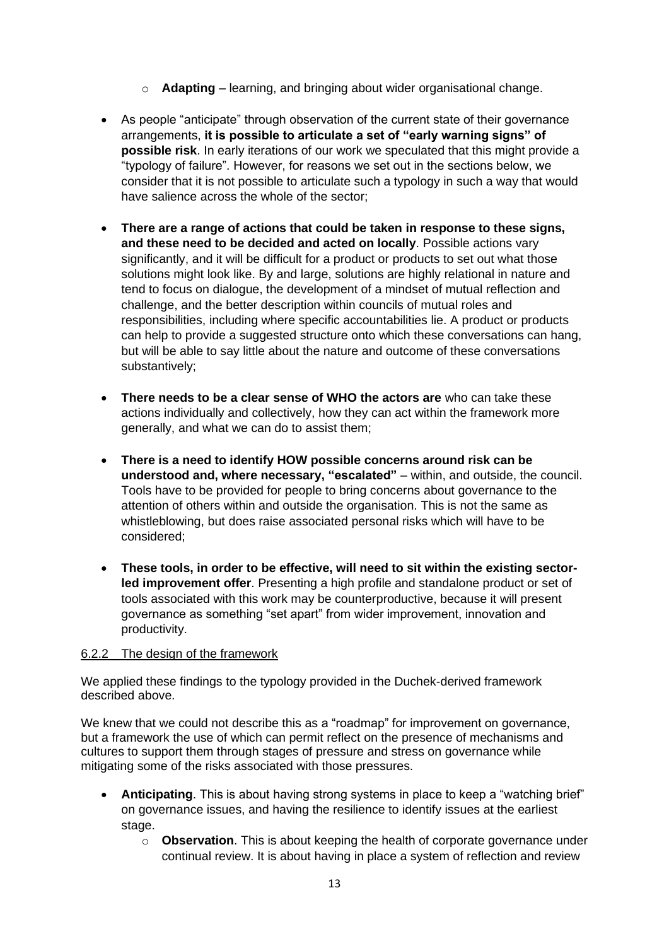- o **Adapting** learning, and bringing about wider organisational change.
- As people "anticipate" through observation of the current state of their governance arrangements, **it is possible to articulate a set of "early warning signs" of possible risk**. In early iterations of our work we speculated that this might provide a "typology of failure". However, for reasons we set out in the sections below, we consider that it is not possible to articulate such a typology in such a way that would have salience across the whole of the sector;
- **There are a range of actions that could be taken in response to these signs, and these need to be decided and acted on locally**. Possible actions vary significantly, and it will be difficult for a product or products to set out what those solutions might look like. By and large, solutions are highly relational in nature and tend to focus on dialogue, the development of a mindset of mutual reflection and challenge, and the better description within councils of mutual roles and responsibilities, including where specific accountabilities lie. A product or products can help to provide a suggested structure onto which these conversations can hang, but will be able to say little about the nature and outcome of these conversations substantively;
- **There needs to be a clear sense of WHO the actors are** who can take these actions individually and collectively, how they can act within the framework more generally, and what we can do to assist them;
- **There is a need to identify HOW possible concerns around risk can be understood and, where necessary, "escalated"** – within, and outside, the council. Tools have to be provided for people to bring concerns about governance to the attention of others within and outside the organisation. This is not the same as whistleblowing, but does raise associated personal risks which will have to be considered;
- **These tools, in order to be effective, will need to sit within the existing sectorled improvement offer**. Presenting a high profile and standalone product or set of tools associated with this work may be counterproductive, because it will present governance as something "set apart" from wider improvement, innovation and productivity.

### 6.2.2 The design of the framework

We applied these findings to the typology provided in the Duchek-derived framework described above.

We knew that we could not describe this as a "roadmap" for improvement on governance, but a framework the use of which can permit reflect on the presence of mechanisms and cultures to support them through stages of pressure and stress on governance while mitigating some of the risks associated with those pressures.

- **Anticipating**. This is about having strong systems in place to keep a "watching brief" on governance issues, and having the resilience to identify issues at the earliest stage.
	- o **Observation**. This is about keeping the health of corporate governance under continual review. It is about having in place a system of reflection and review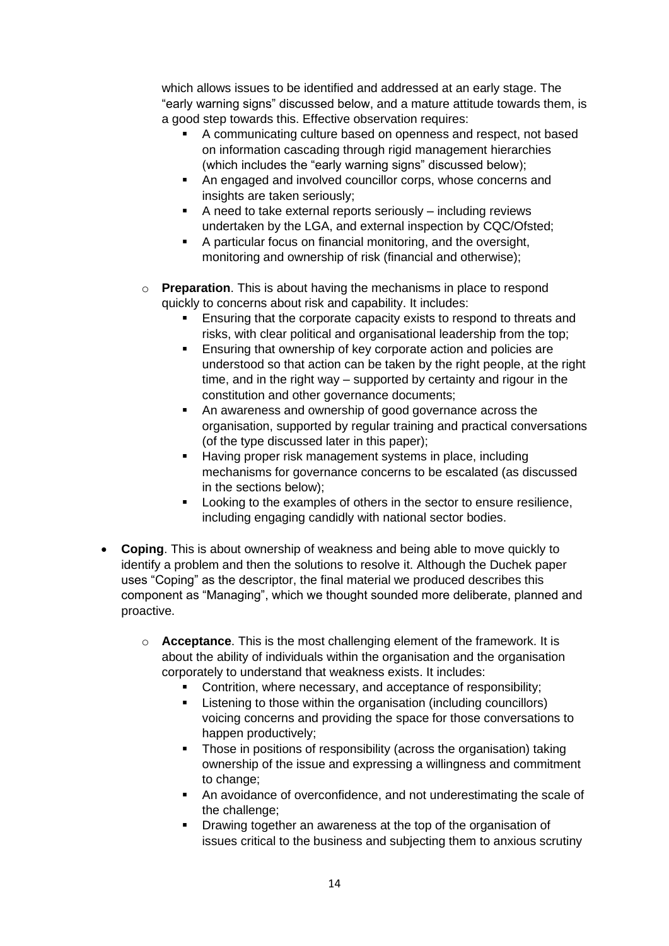which allows issues to be identified and addressed at an early stage. The "early warning signs" discussed below, and a mature attitude towards them, is a good step towards this. Effective observation requires:

- A communicating culture based on openness and respect, not based on information cascading through rigid management hierarchies (which includes the "early warning signs" discussed below);
- An engaged and involved councillor corps, whose concerns and insights are taken seriously:
- A need to take external reports seriously including reviews undertaken by the LGA, and external inspection by CQC/Ofsted;
- A particular focus on financial monitoring, and the oversight, monitoring and ownership of risk (financial and otherwise);
- o **Preparation**. This is about having the mechanisms in place to respond quickly to concerns about risk and capability. It includes:
	- Ensuring that the corporate capacity exists to respond to threats and risks, with clear political and organisational leadership from the top;
	- Ensuring that ownership of key corporate action and policies are understood so that action can be taken by the right people, at the right time, and in the right way – supported by certainty and rigour in the constitution and other governance documents;
	- An awareness and ownership of good governance across the organisation, supported by regular training and practical conversations (of the type discussed later in this paper);
	- Having proper risk management systems in place, including mechanisms for governance concerns to be escalated (as discussed in the sections below);
	- Looking to the examples of others in the sector to ensure resilience, including engaging candidly with national sector bodies.
- **Coping**. This is about ownership of weakness and being able to move quickly to identify a problem and then the solutions to resolve it. Although the Duchek paper uses "Coping" as the descriptor, the final material we produced describes this component as "Managing", which we thought sounded more deliberate, planned and proactive.
	- o **Acceptance**. This is the most challenging element of the framework. It is about the ability of individuals within the organisation and the organisation corporately to understand that weakness exists. It includes:
		- Contrition, where necessary, and acceptance of responsibility;
		- Listening to those within the organisation (including councillors) voicing concerns and providing the space for those conversations to happen productively;
		- Those in positions of responsibility (across the organisation) taking ownership of the issue and expressing a willingness and commitment to change;
		- An avoidance of overconfidence, and not underestimating the scale of the challenge;
		- Drawing together an awareness at the top of the organisation of issues critical to the business and subjecting them to anxious scrutiny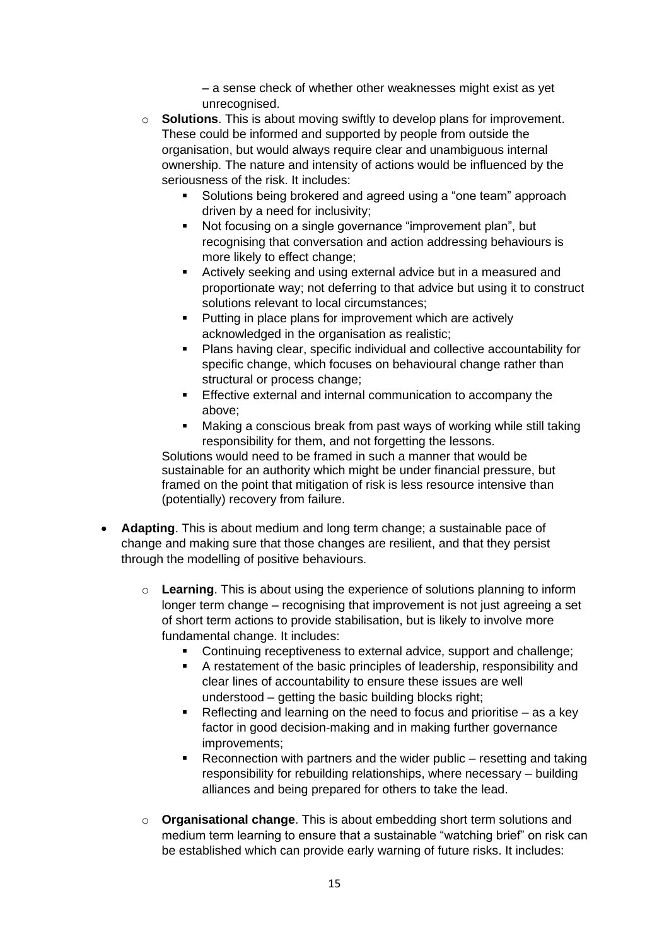– a sense check of whether other weaknesses might exist as yet unrecognised.

- o **Solutions**. This is about moving swiftly to develop plans for improvement. These could be informed and supported by people from outside the organisation, but would always require clear and unambiguous internal ownership. The nature and intensity of actions would be influenced by the seriousness of the risk. It includes:
	- Solutions being brokered and agreed using a "one team" approach driven by a need for inclusivity;
	- Not focusing on a single governance "improvement plan", but recognising that conversation and action addressing behaviours is more likely to effect change;
	- Actively seeking and using external advice but in a measured and proportionate way; not deferring to that advice but using it to construct solutions relevant to local circumstances;
	- Putting in place plans for improvement which are actively acknowledged in the organisation as realistic;
	- Plans having clear, specific individual and collective accountability for specific change, which focuses on behavioural change rather than structural or process change;
	- **Effective external and internal communication to accompany the** above;
	- Making a conscious break from past ways of working while still taking responsibility for them, and not forgetting the lessons.

Solutions would need to be framed in such a manner that would be sustainable for an authority which might be under financial pressure, but framed on the point that mitigation of risk is less resource intensive than (potentially) recovery from failure.

- **Adapting**. This is about medium and long term change; a sustainable pace of change and making sure that those changes are resilient, and that they persist through the modelling of positive behaviours.
	- o **Learning**. This is about using the experience of solutions planning to inform longer term change – recognising that improvement is not just agreeing a set of short term actions to provide stabilisation, but is likely to involve more fundamental change. It includes:
		- Continuing receptiveness to external advice, support and challenge;
		- A restatement of the basic principles of leadership, responsibility and clear lines of accountability to ensure these issues are well understood – getting the basic building blocks right;
		- $\blacksquare$  Reflecting and learning on the need to focus and prioritise as a key factor in good decision-making and in making further governance improvements;
		- Reconnection with partners and the wider public resetting and taking responsibility for rebuilding relationships, where necessary – building alliances and being prepared for others to take the lead.
	- o **Organisational change**. This is about embedding short term solutions and medium term learning to ensure that a sustainable "watching brief" on risk can be established which can provide early warning of future risks. It includes: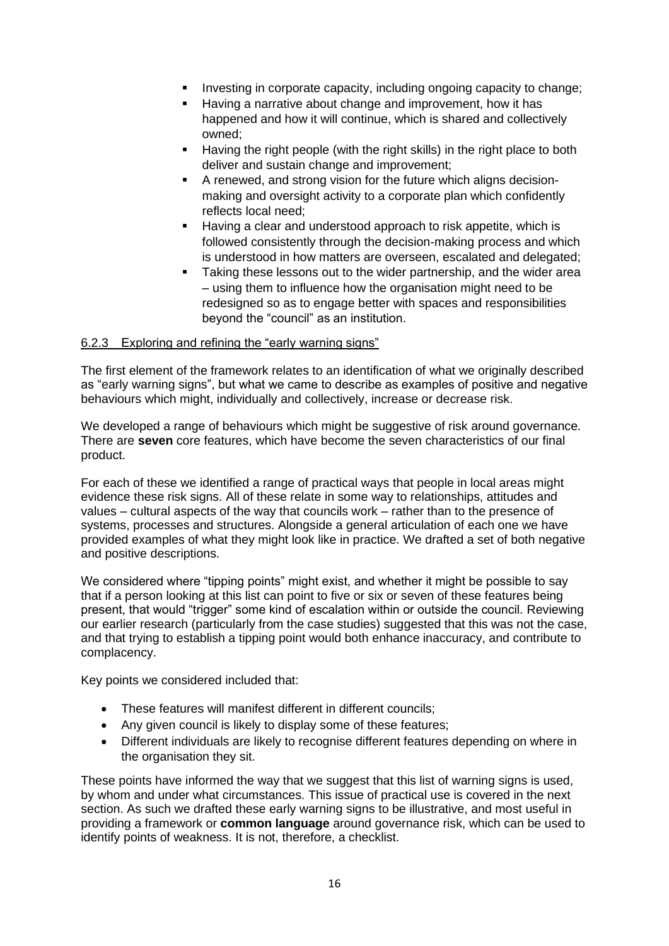- Investing in corporate capacity, including ongoing capacity to change;
- Having a narrative about change and improvement, how it has happened and how it will continue, which is shared and collectively owned;
- Having the right people (with the right skills) in the right place to both deliver and sustain change and improvement;
- A renewed, and strong vision for the future which aligns decisionmaking and oversight activity to a corporate plan which confidently reflects local need;
- Having a clear and understood approach to risk appetite, which is followed consistently through the decision-making process and which is understood in how matters are overseen, escalated and delegated;
- **EXE** Taking these lessons out to the wider partnership, and the wider area – using them to influence how the organisation might need to be redesigned so as to engage better with spaces and responsibilities beyond the "council" as an institution.

## 6.2.3 Exploring and refining the "early warning signs"

The first element of the framework relates to an identification of what we originally described as "early warning signs", but what we came to describe as examples of positive and negative behaviours which might, individually and collectively, increase or decrease risk.

We developed a range of behaviours which might be suggestive of risk around governance. There are **seven** core features, which have become the seven characteristics of our final product.

For each of these we identified a range of practical ways that people in local areas might evidence these risk signs. All of these relate in some way to relationships, attitudes and values – cultural aspects of the way that councils work – rather than to the presence of systems, processes and structures. Alongside a general articulation of each one we have provided examples of what they might look like in practice. We drafted a set of both negative and positive descriptions.

We considered where "tipping points" might exist, and whether it might be possible to say that if a person looking at this list can point to five or six or seven of these features being present, that would "trigger" some kind of escalation within or outside the council. Reviewing our earlier research (particularly from the case studies) suggested that this was not the case, and that trying to establish a tipping point would both enhance inaccuracy, and contribute to complacency.

Key points we considered included that:

- These features will manifest different in different councils;
- Any given council is likely to display some of these features;
- Different individuals are likely to recognise different features depending on where in the organisation they sit.

These points have informed the way that we suggest that this list of warning signs is used, by whom and under what circumstances. This issue of practical use is covered in the next section. As such we drafted these early warning signs to be illustrative, and most useful in providing a framework or **common language** around governance risk, which can be used to identify points of weakness. It is not, therefore, a checklist.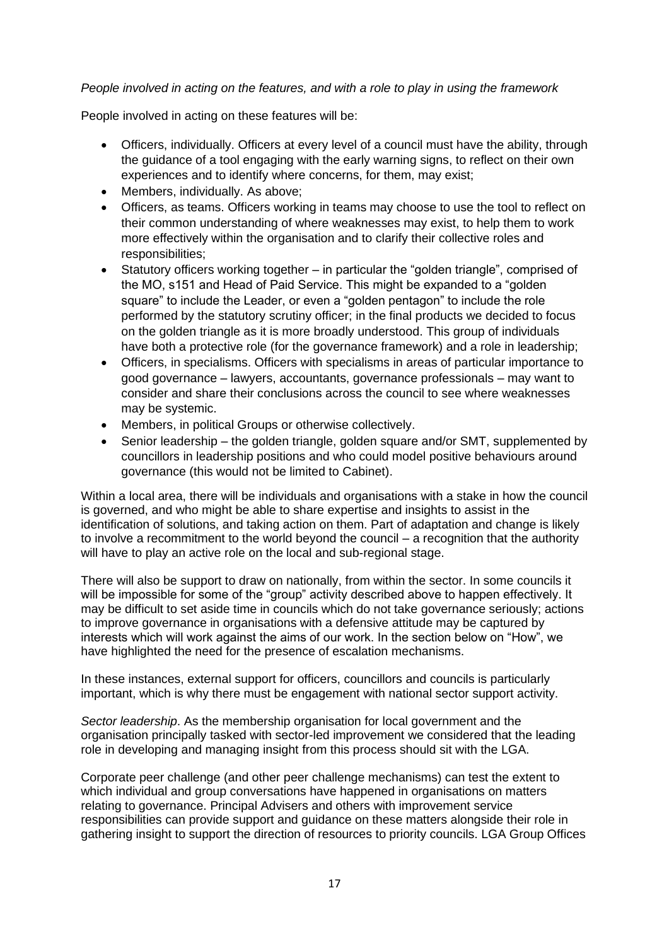#### *People involved in acting on the features, and with a role to play in using the framework*

People involved in acting on these features will be:

- Officers, individually. Officers at every level of a council must have the ability, through the guidance of a tool engaging with the early warning signs, to reflect on their own experiences and to identify where concerns, for them, may exist;
- Members, individually. As above;
- Officers, as teams. Officers working in teams may choose to use the tool to reflect on their common understanding of where weaknesses may exist, to help them to work more effectively within the organisation and to clarify their collective roles and responsibilities;
- Statutory officers working together in particular the "golden triangle", comprised of the MO, s151 and Head of Paid Service. This might be expanded to a "golden square" to include the Leader, or even a "golden pentagon" to include the role performed by the statutory scrutiny officer; in the final products we decided to focus on the golden triangle as it is more broadly understood. This group of individuals have both a protective role (for the governance framework) and a role in leadership;
- Officers, in specialisms. Officers with specialisms in areas of particular importance to good governance – lawyers, accountants, governance professionals – may want to consider and share their conclusions across the council to see where weaknesses may be systemic.
- Members, in political Groups or otherwise collectively.
- Senior leadership the golden triangle, golden square and/or SMT, supplemented by councillors in leadership positions and who could model positive behaviours around governance (this would not be limited to Cabinet).

Within a local area, there will be individuals and organisations with a stake in how the council is governed, and who might be able to share expertise and insights to assist in the identification of solutions, and taking action on them. Part of adaptation and change is likely to involve a recommitment to the world beyond the council – a recognition that the authority will have to play an active role on the local and sub-regional stage.

There will also be support to draw on nationally, from within the sector. In some councils it will be impossible for some of the "group" activity described above to happen effectively. It may be difficult to set aside time in councils which do not take governance seriously; actions to improve governance in organisations with a defensive attitude may be captured by interests which will work against the aims of our work. In the section below on "How", we have highlighted the need for the presence of escalation mechanisms.

In these instances, external support for officers, councillors and councils is particularly important, which is why there must be engagement with national sector support activity.

*Sector leadership*. As the membership organisation for local government and the organisation principally tasked with sector-led improvement we considered that the leading role in developing and managing insight from this process should sit with the LGA.

Corporate peer challenge (and other peer challenge mechanisms) can test the extent to which individual and group conversations have happened in organisations on matters relating to governance. Principal Advisers and others with improvement service responsibilities can provide support and guidance on these matters alongside their role in gathering insight to support the direction of resources to priority councils. LGA Group Offices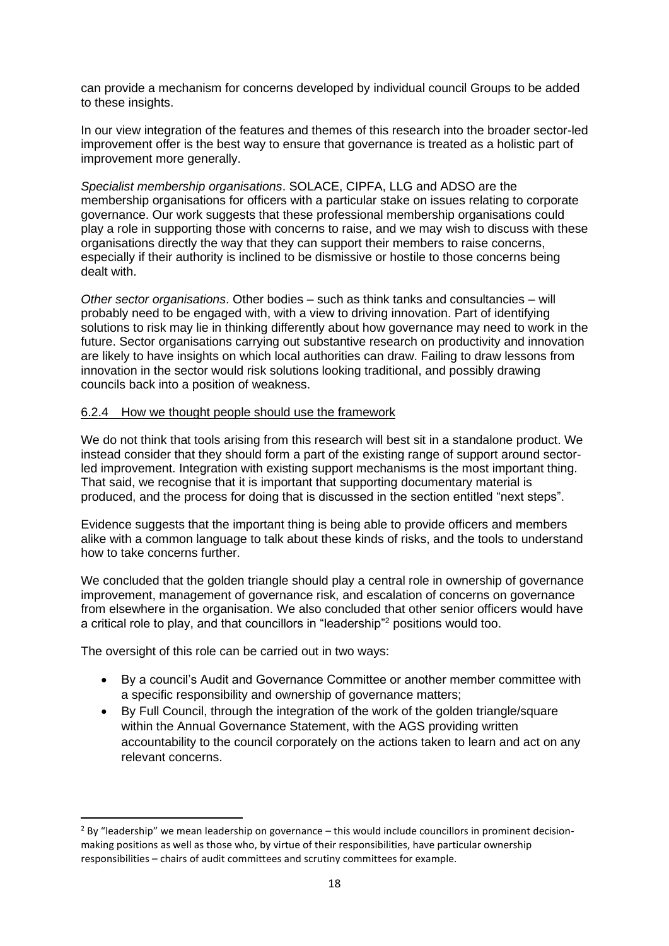can provide a mechanism for concerns developed by individual council Groups to be added to these insights.

In our view integration of the features and themes of this research into the broader sector-led improvement offer is the best way to ensure that governance is treated as a holistic part of improvement more generally.

*Specialist membership organisations*. SOLACE, CIPFA, LLG and ADSO are the membership organisations for officers with a particular stake on issues relating to corporate governance. Our work suggests that these professional membership organisations could play a role in supporting those with concerns to raise, and we may wish to discuss with these organisations directly the way that they can support their members to raise concerns, especially if their authority is inclined to be dismissive or hostile to those concerns being dealt with.

*Other sector organisations*. Other bodies – such as think tanks and consultancies – will probably need to be engaged with, with a view to driving innovation. Part of identifying solutions to risk may lie in thinking differently about how governance may need to work in the future. Sector organisations carrying out substantive research on productivity and innovation are likely to have insights on which local authorities can draw. Failing to draw lessons from innovation in the sector would risk solutions looking traditional, and possibly drawing councils back into a position of weakness.

#### 6.2.4 How we thought people should use the framework

We do not think that tools arising from this research will best sit in a standalone product. We instead consider that they should form a part of the existing range of support around sectorled improvement. Integration with existing support mechanisms is the most important thing. That said, we recognise that it is important that supporting documentary material is produced, and the process for doing that is discussed in the section entitled "next steps".

Evidence suggests that the important thing is being able to provide officers and members alike with a common language to talk about these kinds of risks, and the tools to understand how to take concerns further.

We concluded that the golden triangle should play a central role in ownership of governance improvement, management of governance risk, and escalation of concerns on governance from elsewhere in the organisation. We also concluded that other senior officers would have a critical role to play, and that councillors in "leadership"<sup>2</sup> positions would too.

The oversight of this role can be carried out in two ways:

- By a council's Audit and Governance Committee or another member committee with a specific responsibility and ownership of governance matters;
- By Full Council, through the integration of the work of the golden triangle/square within the Annual Governance Statement, with the AGS providing written accountability to the council corporately on the actions taken to learn and act on any relevant concerns.

 $<sup>2</sup>$  By "leadership" we mean leadership on governance – this would include councillors in prominent decision-</sup> making positions as well as those who, by virtue of their responsibilities, have particular ownership responsibilities – chairs of audit committees and scrutiny committees for example.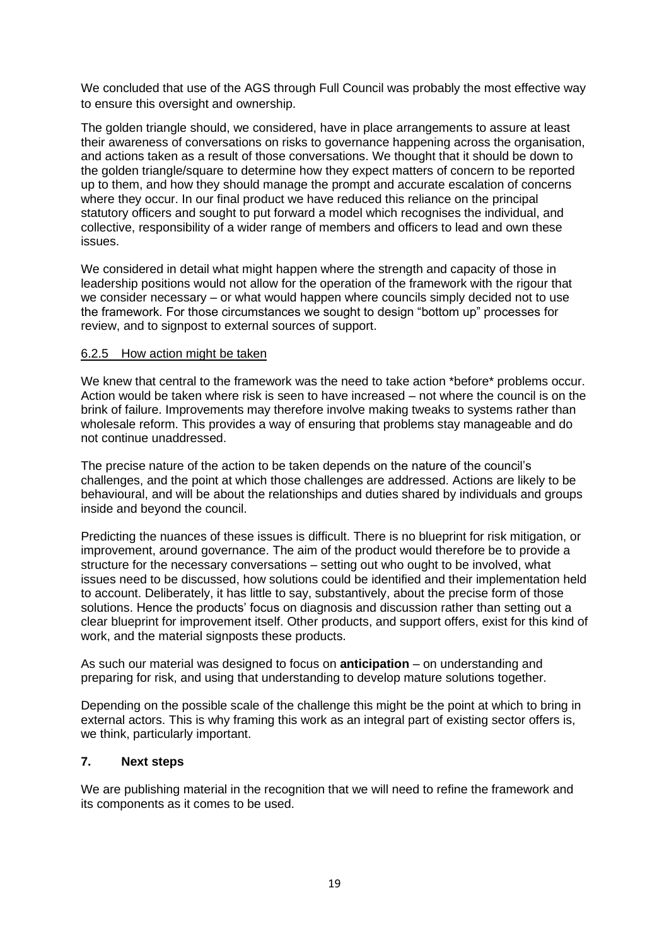We concluded that use of the AGS through Full Council was probably the most effective way to ensure this oversight and ownership.

The golden triangle should, we considered, have in place arrangements to assure at least their awareness of conversations on risks to governance happening across the organisation, and actions taken as a result of those conversations. We thought that it should be down to the golden triangle/square to determine how they expect matters of concern to be reported up to them, and how they should manage the prompt and accurate escalation of concerns where they occur. In our final product we have reduced this reliance on the principal statutory officers and sought to put forward a model which recognises the individual, and collective, responsibility of a wider range of members and officers to lead and own these issues.

We considered in detail what might happen where the strength and capacity of those in leadership positions would not allow for the operation of the framework with the rigour that we consider necessary – or what would happen where councils simply decided not to use the framework. For those circumstances we sought to design "bottom up" processes for review, and to signpost to external sources of support.

#### 6.2.5 How action might be taken

We knew that central to the framework was the need to take action \*before\* problems occur. Action would be taken where risk is seen to have increased – not where the council is on the brink of failure. Improvements may therefore involve making tweaks to systems rather than wholesale reform. This provides a way of ensuring that problems stay manageable and do not continue unaddressed.

The precise nature of the action to be taken depends on the nature of the council's challenges, and the point at which those challenges are addressed. Actions are likely to be behavioural, and will be about the relationships and duties shared by individuals and groups inside and beyond the council.

Predicting the nuances of these issues is difficult. There is no blueprint for risk mitigation, or improvement, around governance. The aim of the product would therefore be to provide a structure for the necessary conversations – setting out who ought to be involved, what issues need to be discussed, how solutions could be identified and their implementation held to account. Deliberately, it has little to say, substantively, about the precise form of those solutions. Hence the products' focus on diagnosis and discussion rather than setting out a clear blueprint for improvement itself. Other products, and support offers, exist for this kind of work, and the material signposts these products.

As such our material was designed to focus on **anticipation** – on understanding and preparing for risk, and using that understanding to develop mature solutions together.

Depending on the possible scale of the challenge this might be the point at which to bring in external actors. This is why framing this work as an integral part of existing sector offers is, we think, particularly important.

### **7. Next steps**

We are publishing material in the recognition that we will need to refine the framework and its components as it comes to be used.